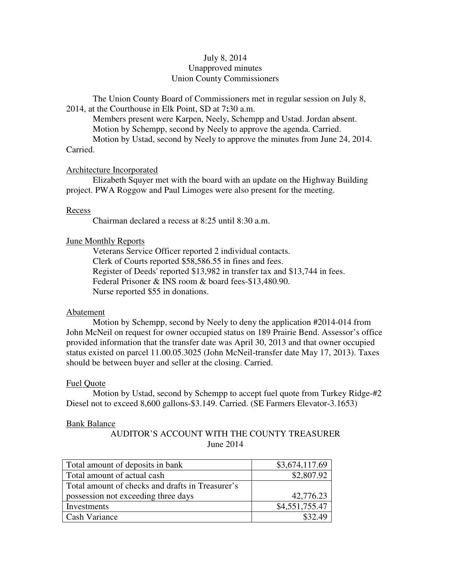# July 8, 2014 Unapproved minutes Union County Commissioners

The Union County Board of Commissioners met in regular session on July 8, 2014, at the Courthouse in Elk Point, SD at 7**:**30 a.m.

 Members present were Karpen, Neely, Schempp and Ustad. Jordan absent. Motion by Schempp, second by Neely to approve the agenda. Carried. Motion by Ustad, second by Neely to approve the minutes from June 24, 2014. Carried.

## Architecture Incorporated

 Elizabeth Squyer met with the board with an update on the Highway Building project. PWA Roggow and Paul Limoges were also present for the meeting.

## Recess

Chairman declared a recess at 8:25 until 8:30 a.m.

# June Monthly Reports

 Veterans Service Officer reported 2 individual contacts. Clerk of Courts reported \$58,586.55 in fines and fees. Register of Deeds' reported \$13,982 in transfer tax and \$13,744 in fees. Federal Prisoner & INS room & board fees-\$13,480.90. Nurse reported \$55 in donations.

# Abatement

 Motion by Schempp, second by Neely to deny the application #2014-014 from John McNeil on request for owner occupied status on 189 Prairie Bend. Assessor's office provided information that the transfer date was April 30, 2013 and that owner occupied status existed on parcel 11.00.05.3025 (John McNeil-transfer date May 17, 2013). Taxes should be between buyer and seller at the closing. Carried.

## Fuel Quote

 Motion by Ustad, second by Schempp to accept fuel quote from Turkey Ridge-#2 Diesel not to exceed 8,600 gallons-\$3.149. Carried. (SE Farmers Elevator-3.1653)

## Bank Balance

AUDITOR'S ACCOUNT WITH THE COUNTY TREASURER June 2014

| Total amount of deposits in bank                 | \$3,674,117.69 |
|--------------------------------------------------|----------------|
| Total amount of actual cash                      | \$2,807.92     |
| Total amount of checks and drafts in Treasurer's |                |
| possession not exceeding three days              | 42,776.23      |
| Investments                                      | \$4,551,755.47 |
| <b>Cash Variance</b>                             | \$32.49        |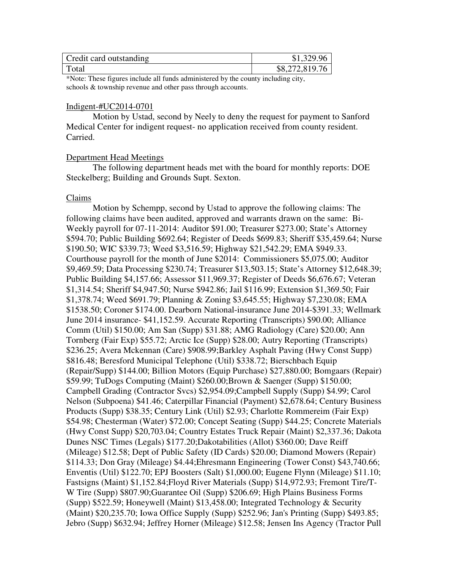| Credit card outstanding | \$1,329.96     |
|-------------------------|----------------|
| Total                   | \$8,272,819.76 |

\*Note: These figures include all funds administered by the county including city, schools & township revenue and other pass through accounts.

# Indigent-#UC2014-0701

 Motion by Ustad, second by Neely to deny the request for payment to Sanford Medical Center for indigent request- no application received from county resident. Carried.

## Department Head Meetings

 The following department heads met with the board for monthly reports: DOE Steckelberg; Building and Grounds Supt. Sexton.

## Claims

 Motion by Schempp, second by Ustad to approve the following claims: The following claims have been audited, approved and warrants drawn on the same: Bi-Weekly payroll for 07-11-2014: Auditor \$91.00; Treasurer \$273.00; State's Attorney \$594.70; Public Building \$692.64; Register of Deeds \$699.83; Sheriff \$35,459.64; Nurse \$190.50; WIC \$339.73; Weed \$3,516.59; Highway \$21,542.29; EMA \$949.33. Courthouse payroll for the month of June \$2014: Commissioners \$5,075.00; Auditor \$9,469.59; Data Processing \$230.74; Treasurer \$13,503.15; State's Attorney \$12,648.39; Public Building \$4,157.66; Assessor \$11,969.37; Register of Deeds \$6,676.67; Veteran \$1,314.54; Sheriff \$4,947.50; Nurse \$942.86; Jail \$116.99; Extension \$1,369.50; Fair \$1,378.74; Weed \$691.79; Planning & Zoning \$3,645.55; Highway \$7,230.08; EMA \$1538.50; Coroner \$174.00. Dearborn National-insurance June 2014-\$391.33; Wellmark June 2014 insurance- \$41,152.59. Accurate Reporting (Transcripts) \$90.00; Alliance Comm (Util) \$150.00; Am San (Supp) \$31.88; AMG Radiology (Care) \$20.00; Ann Tornberg (Fair Exp) \$55.72; Arctic Ice (Supp) \$28.00; Autry Reporting (Transcripts) \$236.25; Avera Mckennan (Care) \$908.99;Barkley Asphalt Paving (Hwy Const Supp) \$816.48; Beresford Municipal Telephone (Util) \$338.72; Bierschbach Equip (Repair/Supp) \$144.00; Billion Motors (Equip Purchase) \$27,880.00; Bomgaars (Repair) \$59.99; TuDogs Computing (Maint) \$260.00;Brown & Saenger (Supp) \$150.00; Campbell Grading (Contractor Svcs) \$2,954.09;Campbell Supply (Supp) \$4.99; Carol Nelson (Subpoena) \$41.46; Caterpillar Financial (Payment) \$2,678.64; Century Business Products (Supp) \$38.35; Century Link (Util) \$2.93; Charlotte Rommereim (Fair Exp) \$54.98; Chesterman (Water) \$72.00; Concept Seating (Supp) \$44.25; Concrete Materials (Hwy Const Supp) \$20,703.04; Country Estates Truck Repair (Maint) \$2,337.36; Dakota Dunes NSC Times (Legals) \$177.20;Dakotabilities (Allot) \$360.00; Dave Reiff (Mileage) \$12.58; Dept of Public Safety (ID Cards) \$20.00; Diamond Mowers (Repair) \$114.33; Don Gray (Mileage) \$4.44;Ehresmann Engineering (Tower Const) \$43,740.66; Enventis (Util) \$122.70; EPJ Boosters (Salt) \$1,000.00; Eugene Flynn (Mileage) \$11.10; Fastsigns (Maint) \$1,152.84;Floyd River Materials (Supp) \$14,972.93; Fremont Tire/T-W Tire (Supp) \$807.90;Guarantee Oil (Supp) \$206.69; High Plains Business Forms (Supp) \$522.59; Honeywell (Maint) \$13,458.00; Integrated Technology & Security (Maint) \$20,235.70; Iowa Office Supply (Supp) \$252.96; Jan's Printing (Supp) \$493.85; Jebro (Supp) \$632.94; Jeffrey Horner (Mileage) \$12.58; Jensen Ins Agency (Tractor Pull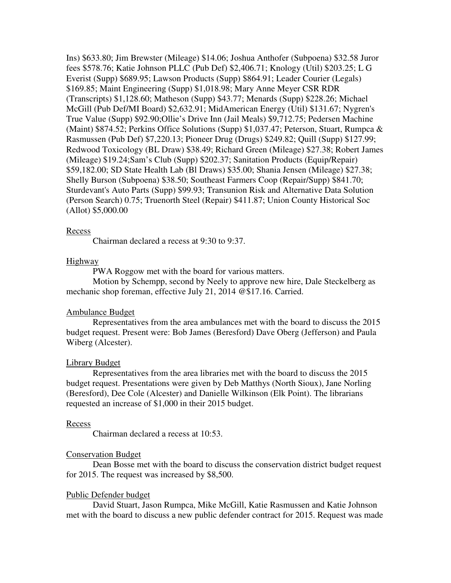Ins) \$633.80; Jim Brewster (Mileage) \$14.06; Joshua Anthofer (Subpoena) \$32.58 Juror fees \$578.76; Katie Johnson PLLC (Pub Def) \$2,406.71; Knology (Util) \$203.25; L G Everist (Supp) \$689.95; Lawson Products (Supp) \$864.91; Leader Courier (Legals) \$169.85; Maint Engineering (Supp) \$1,018.98; Mary Anne Meyer CSR RDR (Transcripts) \$1,128.60; Matheson (Supp) \$43.77; Menards (Supp) \$228.26; Michael McGill (Pub Def/MI Board) \$2,632.91; MidAmerican Energy (Util) \$131.67; Nygren's True Value (Supp) \$92.90;Ollie's Drive Inn (Jail Meals) \$9,712.75; Pedersen Machine (Maint) \$874.52; Perkins Office Solutions (Supp) \$1,037.47; Peterson, Stuart, Rumpca & Rasmussen (Pub Def) \$7,220.13; Pioneer Drug (Drugs) \$249.82; Quill (Supp) \$127.99; Redwood Toxicology (BL Draw) \$38.49; Richard Green (Mileage) \$27.38; Robert James (Mileage) \$19.24;Sam's Club (Supp) \$202.37; Sanitation Products (Equip/Repair) \$59,182.00; SD State Health Lab (Bl Draws) \$35.00; Shania Jensen (Mileage) \$27.38; Shelly Burson (Subpoena) \$38.50; Southeast Farmers Coop (Repair/Supp) \$841.70; Sturdevant's Auto Parts (Supp) \$99.93; Transunion Risk and Alternative Data Solution (Person Search) 0.75; Truenorth Steel (Repair) \$411.87; Union County Historical Soc (Allot) \$5,000.00

## Recess

Chairman declared a recess at 9:30 to 9:37.

#### Highway

PWA Roggow met with the board for various matters.

 Motion by Schempp, second by Neely to approve new hire, Dale Steckelberg as mechanic shop foreman, effective July 21, 2014 @\$17.16. Carried.

#### Ambulance Budget

 Representatives from the area ambulances met with the board to discuss the 2015 budget request. Present were: Bob James (Beresford) Dave Oberg (Jefferson) and Paula Wiberg (Alcester).

#### Library Budget

 Representatives from the area libraries met with the board to discuss the 2015 budget request. Presentations were given by Deb Matthys (North Sioux), Jane Norling (Beresford), Dee Cole (Alcester) and Danielle Wilkinson (Elk Point). The librarians requested an increase of \$1,000 in their 2015 budget.

#### Recess

Chairman declared a recess at 10:53.

#### Conservation Budget

 Dean Bosse met with the board to discuss the conservation district budget request for 2015. The request was increased by \$8,500.

#### Public Defender budget

 David Stuart, Jason Rumpca, Mike McGill, Katie Rasmussen and Katie Johnson met with the board to discuss a new public defender contract for 2015. Request was made